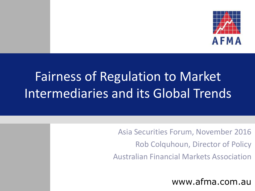

# Fairness of Regulation to Market Intermediaries and its Global Trends

Asia Securities Forum, November 2016 Rob Colquhoun, Director of Policy Australian Financial Markets Association

www.afma.com.au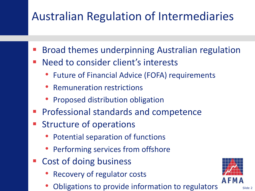#### Australian Regulation of Intermediaries

- Broad themes underpinning Australian regulation
- Need to consider client's interests
	- Future of Financial Advice (FOFA) requirements
	- Remuneration restrictions
	- Proposed distribution obligation
- Professional standards and competence
- Structure of operations
	- Potential separation of functions
	- Performing services from offshore
- Cost of doing business
	- Recovery of regulator costs
	- Obligations to provide information to regulators

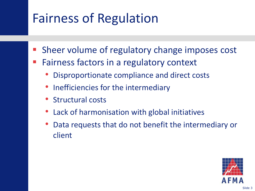## Fairness of Regulation

- Sheer volume of regulatory change imposes cost
- Fairness factors in a regulatory context
	- Disproportionate compliance and direct costs
	- Inefficiencies for the intermediary
	- Structural costs
	- Lack of harmonisation with global initiatives
	- Data requests that do not benefit the intermediary or client

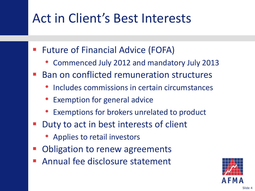#### Act in Client's Best Interests

- Future of Financial Advice (FOFA)
	- Commenced July 2012 and mandatory July 2013
- Ban on conflicted remuneration structures
	- Includes commissions in certain circumstances
	- Exemption for general advice
	- Exemptions for brokers unrelated to product
- Duty to act in best interests of client
	- Applies to retail investors
- Obligation to renew agreements
- Annual fee disclosure statement

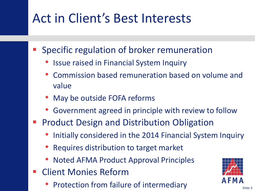### Act in Client's Best Interests

- Specific regulation of broker remuneration
	- Issue raised in Financial System Inquiry
	- Commission based remuneration based on volume and value
	- May be outside FOFA reforms
	- Government agreed in principle with review to follow
- Product Design and Distribution Obligation
	- Initially considered in the 2014 Financial System Inquiry
	- Requires distribution to target market
	- Noted AFMA Product Approval Principles
- Client Monies Reform
	- Protection from failure of intermediary

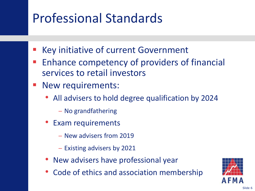#### Professional Standards

- Key initiative of current Government
- Enhance competency of providers of financial services to retail investors
- New requirements:
	- All advisers to hold degree qualification by 2024
		- − No grandfathering
	- Exam requirements
		- − New advisers from 2019
		- − Existing advisers by 2021
	- New advisers have professional year
	- Code of ethics and association membership

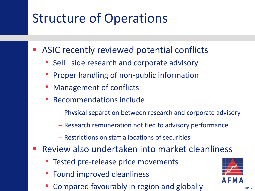### Structure of Operations

ASIC recently reviewed potential conflicts

- Sell –side research and corporate advisory
- Proper handling of non-public information
- Management of conflicts
- Recommendations include
	- − Physical separation between research and corporate advisory
	- − Research remuneration not tied to advisory performance
	- − Restrictions on staff allocations of securities
- Review also undertaken into market cleanliness
	- Tested pre-release price movements
	- Found improved cleanliness
	- Compared favourably in region and globally

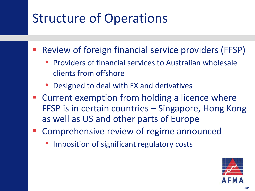### Structure of Operations

- Review of foreign financial service providers (FFSP)
	- Providers of financial services to Australian wholesale clients from offshore
	- Designed to deal with FX and derivatives
- Current exemption from holding a licence where FFSP is in certain countries – Singapore, Hong Kong as well as US and other parts of Europe
- Comprehensive review of regime announced
	- Imposition of significant regulatory costs